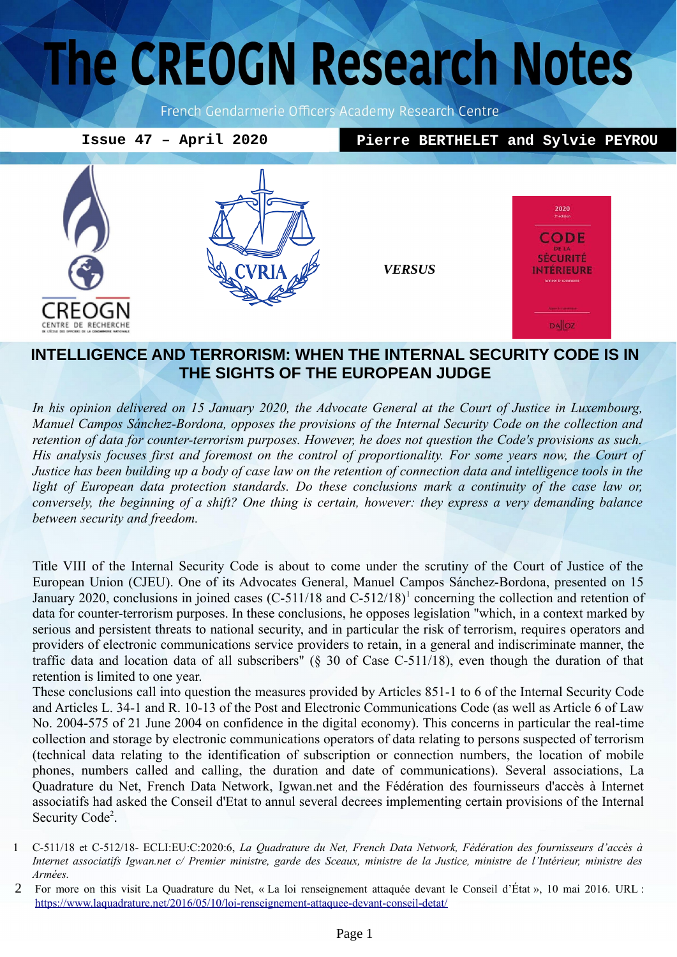# The CREOGN Research Notes

French Gendarmerie Officers Academy Research Centre

**Issue 47 – April 2020 Pierre BERTHELET and Sylvie PEYROU** 2020 CODE **SÉCURITÉ** *VERSUS*INTÉRIEURE REOGN CENTRE DE RECHERCHE **DA**OZ

# **INTELLIGENCE AND TERRORISM: WHEN THE INTERNAL SECURITY CODE IS IN THE SIGHTS OF THE EUROPEAN JUDGE**

*In his opinion delivered on 15 January 2020, the Advocate General at the Court of Justice in Luxembourg, Manuel Campos Sánchez-Bordona, opposes the provisions of the Internal Security Code on the collection and retention of data for counter-terrorism purposes. However, he does not question the Code's provisions as such. His analysis focuses first and foremost on the control of proportionality. For some years now, the Court of Justice has been building up a body of case law on the retention of connection data and intelligence tools in the light of European data protection standards. Do these conclusions mark a continuity of the case law or, conversely, the beginning of a shift? One thing is certain, however: they express a very demanding balance between security and freedom.* 

Title VIII of the Internal Security Code is about to come under the scrutiny of the Court of Justice of the European Union (CJEU). One of its Advocates General, Manuel Campos Sánchez-Bordona, presented on 15 January 2020, conclusions in joined cases (C-5[1](#page-0-0)1/18 and C-512/18)<sup>1</sup> concerning the collection and retention of data for counter-terrorism purposes. In these conclusions, he opposes legislation "which, in a context marked by serious and persistent threats to national security, and in particular the risk of terrorism, requires operators and providers of electronic communications service providers to retain, in a general and indiscriminate manner, the traffic data and location data of all subscribers" (§ 30 of Case C-511/18), even though the duration of that retention is limited to one year.

These conclusions call into question the measures provided by Articles 851-1 to 6 of the Internal Security Code and Articles L. 34-1 and R. 10-13 of the Post and Electronic Communications Code (as well as Article 6 of Law No. 2004-575 of 21 June 2004 on confidence in the digital economy). This concerns in particular the real-time collection and storage by electronic communications operators of data relating to persons suspected of terrorism (technical data relating to the identification of subscription or connection numbers, the location of mobile phones, numbers called and calling, the duration and date of communications). Several associations, La Quadrature du Net, French Data Network, Igwan.net and the Fédération des fournisseurs d'accès à Internet associatifs had asked the Conseil d'Etat to annul several decrees implementing certain provisions of the Internal Security Code<sup>[2](#page-0-1)</sup>.

<span id="page-0-0"></span><sup>1</sup> C-511/18 et C-512/18- ECLI:EU:C:2020:6, *La Quadrature du Net, French Data Network, Fédération des fournisseurs d'accès à Internet associatifs Igwan.net c/ Premier ministre, garde des Sceaux, ministre de la Justice, ministre de l'Intérieur, ministre des Armées.*

<span id="page-0-1"></span><sup>2</sup> For more on this visit La Quadrature du Net, « La loi renseignement attaquée devant le Conseil d'État », 10 mai 2016. URL : <https://www.laquadrature.net/2016/05/10/loi-renseignement-attaquee-devant-conseil-detat/>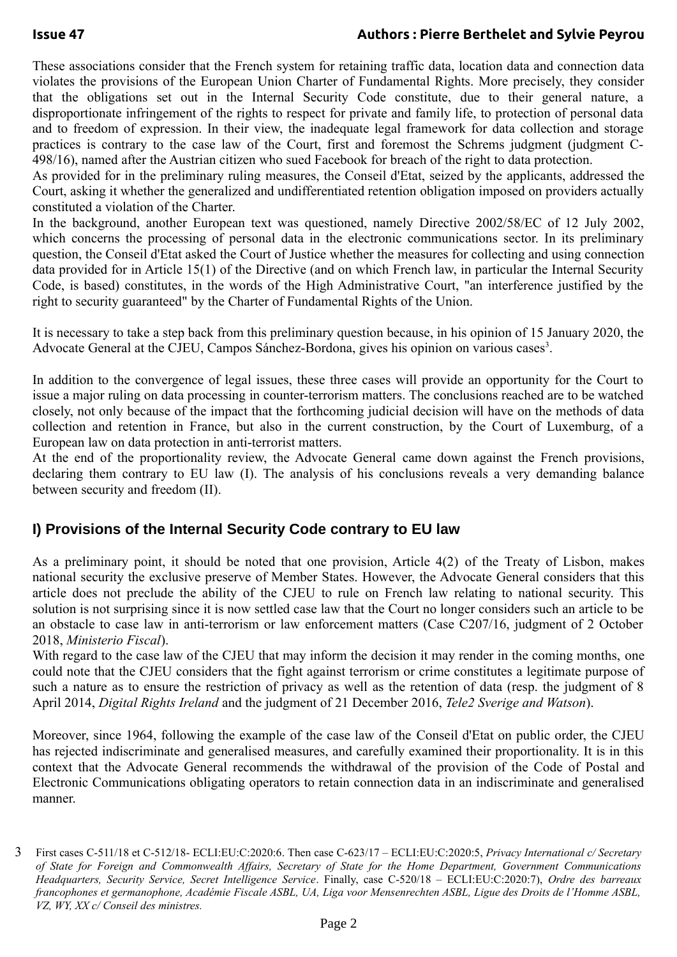### **Issue 47 Authors : Pierre Berthelet and Sylvie Peyrou**

These associations consider that the French system for retaining traffic data, location data and connection data violates the provisions of the European Union Charter of Fundamental Rights. More precisely, they consider that the obligations set out in the Internal Security Code constitute, due to their general nature, a disproportionate infringement of the rights to respect for private and family life, to protection of personal data and to freedom of expression. In their view, the inadequate legal framework for data collection and storage practices is contrary to the case law of the Court, first and foremost the Schrems judgment (judgment C-498/16), named after the Austrian citizen who sued Facebook for breach of the right to data protection.

As provided for in the preliminary ruling measures, the Conseil d'Etat, seized by the applicants, addressed the Court, asking it whether the generalized and undifferentiated retention obligation imposed on providers actually constituted a violation of the Charter.

In the background, another European text was questioned, namely Directive 2002/58/EC of 12 July 2002, which concerns the processing of personal data in the electronic communications sector. In its preliminary question, the Conseil d'Etat asked the Court of Justice whether the measures for collecting and using connection data provided for in Article 15(1) of the Directive (and on which French law, in particular the Internal Security Code, is based) constitutes, in the words of the High Administrative Court, "an interference justified by the right to security guaranteed" by the Charter of Fundamental Rights of the Union.

It is necessary to take a step back from this preliminary question because, in his opinion of 15 January 2020, the Advocate General at the CJEU, Campos Sánchez-Bordona, gives his opinion on various cases<sup>[3](#page-1-0)</sup>.

In addition to the convergence of legal issues, these three cases will provide an opportunity for the Court to issue a major ruling on data processing in counter-terrorism matters. The conclusions reached are to be watched closely, not only because of the impact that the forthcoming judicial decision will have on the methods of data collection and retention in France, but also in the current construction, by the Court of Luxemburg, of a European law on data protection in anti-terrorist matters.

At the end of the proportionality review, the Advocate General came down against the French provisions, declaring them contrary to EU law (I). The analysis of his conclusions reveals a very demanding balance between security and freedom (II).

## **I) Provisions of the Internal Security Code contrary to EU law**

As a preliminary point, it should be noted that one provision, Article 4(2) of the Treaty of Lisbon, makes national security the exclusive preserve of Member States. However, the Advocate General considers that this article does not preclude the ability of the CJEU to rule on French law relating to national security. This solution is not surprising since it is now settled case law that the Court no longer considers such an article to be an obstacle to case law in anti-terrorism or law enforcement matters (Case C207/16, judgment of 2 October 2018, *Ministerio Fiscal*).

With regard to the case law of the CJEU that may inform the decision it may render in the coming months, one could note that the CJEU considers that the fight against terrorism or crime constitutes a legitimate purpose of such a nature as to ensure the restriction of privacy as well as the retention of data (resp. the judgment of 8 April 2014, *Digital Rights Ireland* and the judgment of 21 December 2016, *Tele2 Sverige and Watson*).

Moreover, since 1964, following the example of the case law of the Conseil d'Etat on public order, the CJEU has rejected indiscriminate and generalised measures, and carefully examined their proportionality. It is in this context that the Advocate General recommends the withdrawal of the provision of the Code of Postal and Electronic Communications obligating operators to retain connection data in an indiscriminate and generalised manner.

<span id="page-1-0"></span><sup>3</sup> First cases C-511/18 et C-512/18- ECLI:EU:C:2020:6. Then case C-623/17 – ECLI:EU:C:2020:5, *Privacy International c/ Secretary of State for Foreign and Commonwealth Affairs, Secretary of State for the Home Department, Government Communications Headquarters, Security Service, Secret Intelligence Service*. Finally, case C-520/18 – ECLI:EU:C:2020:7), *Ordre des barreaux francophones et germanophone, Académie Fiscale ASBL, UA, Liga voor Mensenrechten ASBL, Ligue des Droits de l'Homme ASBL, VZ, WY, XX c/ Conseil des ministres.*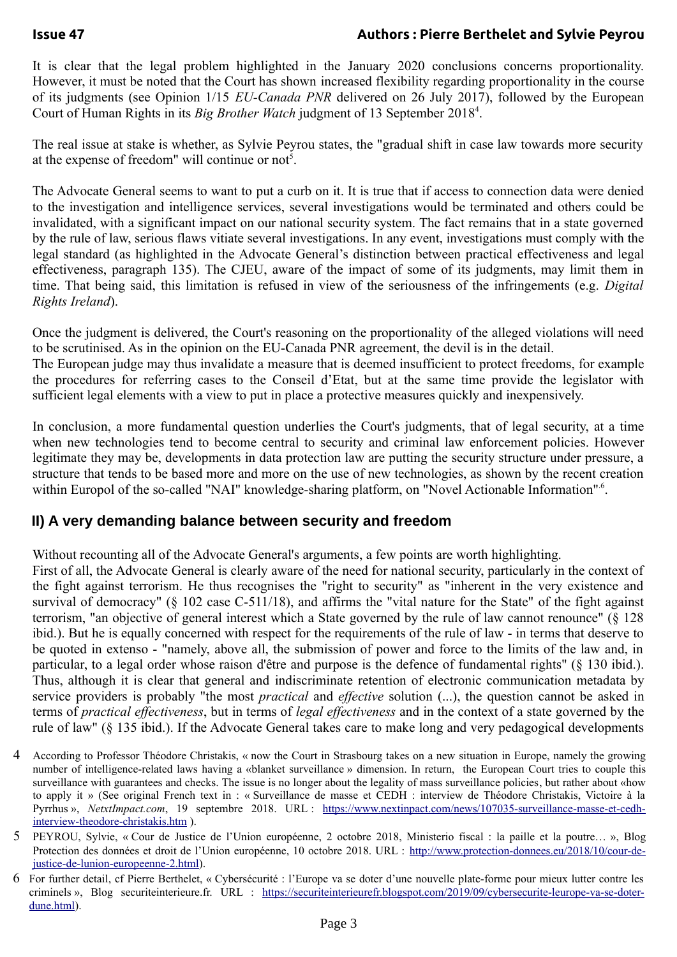## **Issue 47 Authors : Pierre Berthelet and Sylvie Peyrou**

It is clear that the legal problem highlighted in the January 2020 conclusions concerns proportionality. However, it must be noted that the Court has shown increased flexibility regarding proportionality in the course of its judgments (see Opinion 1/15 *EU-Canada PNR* delivered on 26 July 2017), followed by the European Court of Human Rights in its *Big Brother Watch* judgment of 13 September 2018<sup>[4](#page-2-0)</sup>.

The real issue at stake is whether, as Sylvie Peyrou states, the "gradual shift in case law towards more security at the expense of freedom" will continue or not<sup>[5](#page-2-1)</sup>.

The Advocate General seems to want to put a curb on it. It is true that if access to connection data were denied to the investigation and intelligence services, several investigations would be terminated and others could be invalidated, with a significant impact on our national security system. The fact remains that in a state governed by the rule of law, serious flaws vitiate several investigations. In any event, investigations must comply with the legal standard (as highlighted in the Advocate General's distinction between practical effectiveness and legal effectiveness, paragraph 135). The CJEU, aware of the impact of some of its judgments, may limit them in time. That being said, this limitation is refused in view of the seriousness of the infringements (e.g. *Digital Rights Ireland*).

Once the judgment is delivered, the Court's reasoning on the proportionality of the alleged violations will need to be scrutinised. As in the opinion on the EU-Canada PNR agreement, the devil is in the detail.

The European judge may thus invalidate a measure that is deemed insufficient to protect freedoms, for example the procedures for referring cases to the Conseil d'Etat, but at the same time provide the legislator with sufficient legal elements with a view to put in place a protective measures quickly and inexpensively.

In conclusion, a more fundamental question underlies the Court's judgments, that of legal security, at a time when new technologies tend to become central to security and criminal law enforcement policies. However legitimate they may be, developments in data protection law are putting the security structure under pressure, a structure that tends to be based more and more on the use of new technologies, as shown by the recent creation within Europol of the so-called "NAI" knowledge-sharing platform, on "Novel Actionable Information"<sup>6</sup>.

# **II) A very demanding balance between security and freedom**

Without recounting all of the Advocate General's arguments, a few points are worth highlighting.

First of all, the Advocate General is clearly aware of the need for national security, particularly in the context of the fight against terrorism. He thus recognises the "right to security" as "inherent in the very existence and survival of democracy" (§ 102 case C-511/18), and affirms the "vital nature for the State" of the fight against terrorism, "an objective of general interest which a State governed by the rule of law cannot renounce" (§ 128 ibid.). But he is equally concerned with respect for the requirements of the rule of law - in terms that deserve to be quoted in extenso - "namely, above all, the submission of power and force to the limits of the law and, in particular, to a legal order whose raison d'être and purpose is the defence of fundamental rights" (§ 130 ibid.). Thus, although it is clear that general and indiscriminate retention of electronic communication metadata by service providers is probably "the most *practical* and *effective* solution (...), the question cannot be asked in terms of *practical effectiveness*, but in terms of *legal effectiveness* and in the context of a state governed by the rule of law" (§ 135 ibid.). If the Advocate General takes care to make long and very pedagogical developments

- <span id="page-2-0"></span>4 According to Professor Théodore Christakis, « now the Court in Strasbourg takes on a new situation in Europe, namely the growing number of intelligence-related laws having a «blanket surveillance » dimension. In return, the European Court tries to couple this surveillance with guarantees and checks. The issue is no longer about the legality of mass surveillance policies, but rather about «how to apply it » (See original French text in : « Surveillance de masse et CEDH : interview de Théodore Christakis, Victoire à la Pyrrhus », *NetxtImpact.com*, 19 septembre 2018. URL : [https://www.nextinpact.com/news/107035-surveillance-masse-et-cedh](https://www.nextinpact.com/news/107035-surveillance-masse-et-cedh-interview-theodore-christakis.htm)[interview-theodore-christakis.htm](https://www.nextinpact.com/news/107035-surveillance-masse-et-cedh-interview-theodore-christakis.htm) ).
- <span id="page-2-1"></span>5 PEYROU, Sylvie, « Cour de Justice de l'Union européenne, 2 octobre 2018, Ministerio fiscal : la paille et la poutre… », Blog Protection des données et droit de l'Union européenne, 10 octobre 2018. URL : [http://www.protection-donnees.eu/2018/10/cour-de](http://www.protection-donnees.eu/2018/10/cour-de-justice-de-lunion-europeenne-2.html)[justice-de-lunion-europeenne-2.html](http://www.protection-donnees.eu/2018/10/cour-de-justice-de-lunion-europeenne-2.html)).
- <span id="page-2-2"></span>6 For further detail, cf Pierre Berthelet, « Cybersécurité : l'Europe va se doter d'une nouvelle plate-forme pour mieux lutter contre les criminels », Blog securiteinterieure.fr. URL : [https://securiteinterieurefr.blogspot.com/2019/09/cybersecurite-leurope-va-se-doter](https://securiteinterieurefr.blogspot.com/2019/09/cybersecurite-leurope-va-se-doter-dune.html)[dune.html\)](https://securiteinterieurefr.blogspot.com/2019/09/cybersecurite-leurope-va-se-doter-dune.html).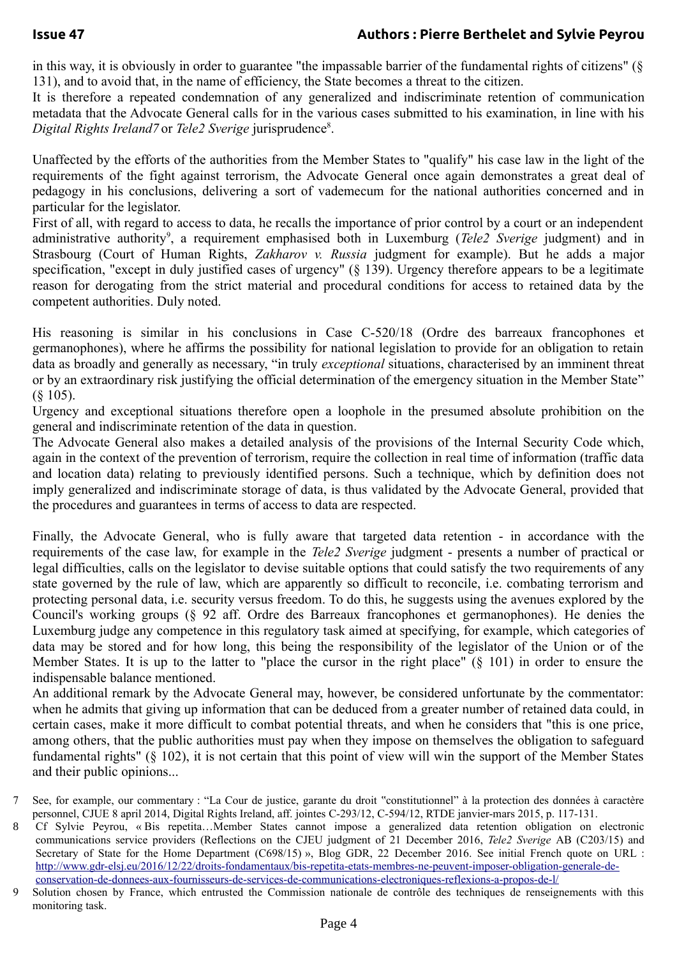in this way, it is obviously in order to guarantee "the impassable barrier of the fundamental rights of citizens" (§ 131), and to avoid that, in the name of efficiency, the State becomes a threat to the citizen.

It is therefore a repeated condemnation of any generalized and indiscriminate retention of communication metadata that the Advocate General calls for in the various cases submitted to his examination, in line with his Digital Rights Ireland<sup>[7](#page-3-0)</sup> or Tele2 Sverige jurisprudence<sup>[8](#page-3-1)</sup>.

Unaffected by the efforts of the authorities from the Member States to "qualify" his case law in the light of the requirements of the fight against terrorism, the Advocate General once again demonstrates a great deal of pedagogy in his conclusions, delivering a sort of vademecum for the national authorities concerned and in particular for the legislator.

First of all, with regard to access to data, he recalls the importance of prior control by a court or an independent administrative authority<sup>[9](#page-3-2)</sup>, a requirement emphasised both in Luxemburg (*Tele2 Sverige* judgment) and in Strasbourg (Court of Human Rights, *Zakharov v. Russia* judgment for example). But he adds a major specification, "except in duly justified cases of urgency" (§ 139). Urgency therefore appears to be a legitimate reason for derogating from the strict material and procedural conditions for access to retained data by the competent authorities. Duly noted.

His reasoning is similar in his conclusions in Case C-520/18 (Ordre des barreaux francophones et germanophones), where he affirms the possibility for national legislation to provide for an obligation to retain data as broadly and generally as necessary, "in truly *exceptional* situations, characterised by an imminent threat or by an extraordinary risk justifying the official determination of the emergency situation in the Member State" (§ 105).

Urgency and exceptional situations therefore open a loophole in the presumed absolute prohibition on the general and indiscriminate retention of the data in question.

The Advocate General also makes a detailed analysis of the provisions of the Internal Security Code which, again in the context of the prevention of terrorism, require the collection in real time of information (traffic data and location data) relating to previously identified persons. Such a technique, which by definition does not imply generalized and indiscriminate storage of data, is thus validated by the Advocate General, provided that the procedures and guarantees in terms of access to data are respected.

Finally, the Advocate General, who is fully aware that targeted data retention - in accordance with the requirements of the case law, for example in the *Tele2 Sverige* judgment - presents a number of practical or legal difficulties, calls on the legislator to devise suitable options that could satisfy the two requirements of any state governed by the rule of law, which are apparently so difficult to reconcile, i.e. combating terrorism and protecting personal data, i.e. security versus freedom. To do this, he suggests using the avenues explored by the Council's working groups (§ 92 aff. Ordre des Barreaux francophones et germanophones). He denies the Luxemburg judge any competence in this regulatory task aimed at specifying, for example, which categories of data may be stored and for how long, this being the responsibility of the legislator of the Union or of the Member States. It is up to the latter to "place the cursor in the right place" (§ 101) in order to ensure the indispensable balance mentioned.

An additional remark by the Advocate General may, however, be considered unfortunate by the commentator: when he admits that giving up information that can be deduced from a greater number of retained data could, in certain cases, make it more difficult to combat potential threats, and when he considers that "this is one price, among others, that the public authorities must pay when they impose on themselves the obligation to safeguard fundamental rights" (§ 102), it is not certain that this point of view will win the support of the Member States and their public opinions...

<span id="page-3-0"></span><sup>7</sup> See, for example, our commentary : "La Cour de justice, garante du droit "constitutionnel" à la protection des données à caractère personnel, CJUE 8 april 2014, Digital Rights Ireland, aff. jointes C-293/12, C-594/12, RTDE janvier-mars 2015, p. 117-131.

<span id="page-3-1"></span><sup>8</sup> Cf Sylvie Peyrou, « Bis repetita…Member States cannot impose a generalized data retention obligation on electronic communications service providers (Reflections on the CJEU judgment of 21 December 2016, *Tele2 Sverige* AB (C203/15) and Secretary of State for the Home Department (C698/15) », Blog GDR, 22 December 2016. See initial French quote on URL : [http://www.gdr-elsj.eu/2016/12/22/droits-fondamentaux/bis-repetita-etats-membres-ne-peuvent-imposer-obligation-generale-de](http://www.gdr-elsj.eu/2016/12/22/droits-fondamentaux/bis-repetita-etats-membres-ne-peuvent-imposer-obligation-generale-de-conservation-de-donnees-aux-fournisseurs-de-services-de-communications-electroniques-reflexions-a-propos-de-l/)[conservation-de-donnees-aux-fournisseurs-de-services-de-communications-electroniques-reflexions-a-propos-de-l/](http://www.gdr-elsj.eu/2016/12/22/droits-fondamentaux/bis-repetita-etats-membres-ne-peuvent-imposer-obligation-generale-de-conservation-de-donnees-aux-fournisseurs-de-services-de-communications-electroniques-reflexions-a-propos-de-l/)

<span id="page-3-2"></span><sup>9</sup> Solution chosen by France, which entrusted the Commission nationale de contrôle des techniques de renseignements with this monitoring task.